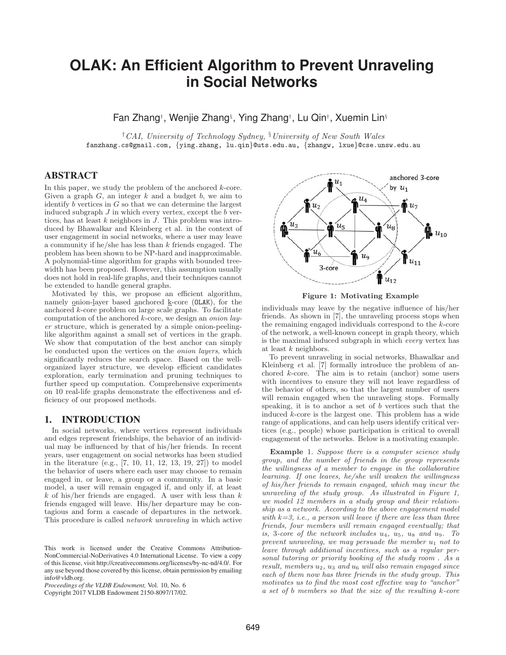# **OLAK: An Efficient Algorithm to Prevent Unraveling in Social Networks**

Fan Zhang†, Wenjie Zhang§, Ying Zhang†, Lu Qin†, Xuemin Lin§

 $^\dagger$ CAI, University of Technology Sydney,  $^\S$ University of New South Wales fanzhang.cs@gmail.com, {ying.zhang, lu.qin}@uts.edu.au, {zhangw, lxue}@cse.unsw.edu.au

# ABSTRACT

In this paper, we study the problem of the anchored  $k$ -core. Given a graph  $G$ , an integer  $k$  and a budget  $b$ , we aim to identify  $b$  vertices in  $G$  so that we can determine the largest induced subgraph  $J$  in which every vertex, except the  $b$  vertices, has at least  $k$  neighbors in  $J$ . This problem was introduced by Bhawalkar and Kleinberg et al. in the context of user engagement in social networks, where a user may leave a community if he/she has less than  $k$  friends engaged. The problem has been shown to be NP-hard and inapproximable. A polynomial-time algorithm for graphs with bounded treewidth has been proposed. However, this assumption usually does not hold in real-life graphs, and their techniques cannot be extended to handle general graphs.

Motivated by this, we propose an efficient algorithm, namely <u>onion-layer</u> based <u>anchored k-core</u> (OLAK), for the anchored  $k$ -core problem on large scale graphs. To facilitate computation of the anchored k-core, we design an onion layer structure, which is generated by a simple onion-peelinglike algorithm against a small set of vertices in the graph. We show that computation of the best anchor can simply be conducted upon the vertices on the onion layers, which significantly reduces the search space. Based on the wellorganized layer structure, we develop efficient candidates exploration, early termination and pruning techniques to further speed up computation. Comprehensive experiments on 10 real-life graphs demonstrate the effectiveness and efficiency of our proposed methods.

# 1. INTRODUCTION

In social networks, where vertices represent individuals and edges represent friendships, the behavior of an individual may be influenced by that of his/her friends. In recent years, user engagement on social networks has been studied in the literature (e.g., [7, 10, 11, 12, 13, 19, 27]) to model the behavior of users where each user may choose to remain engaged in, or leave, a group or a community. In a basic model, a user will remain engaged if, and only if, at least  $k$  of his/her friends are engaged. A user with less than  $k$ friends engaged will leave. His/her departure may be contagious and form a cascade of departures in the network. This procedure is called network unraveling in which active

Copyright 2017 VLDB Endowment 2150-8097/17/02.



**Figure 1: Motivating Example**

individuals may leave by the negative influence of his/her friends. As shown in [7], the unraveling process stops when the remaining engaged individuals correspond to the k-core of the network, a well-known concept in graph theory, which is the maximal induced subgraph in which every vertex has at least  $k$  neighbors.

To prevent unraveling in social networks, Bhawalkar and Kleinberg et al. [7] formally introduce the problem of anchored  $k$ -core. The aim is to retain (anchor) some users with incentives to ensure they will not leave regardless of the behavior of others, so that the largest number of users will remain engaged when the unraveling stops. Formally speaking, it is to anchor a set of b vertices such that the induced k-core is the largest one. This problem has a wide range of applications, and can help users identify critical vertices (e.g., people) whose participation is critical to overall engagement of the networks. Below is a motivating example.

**Example** 1. Suppose there is a computer science study group, and the number of friends in the group represents the willingness of a member to engage in the collaborative learning. If one leaves, he/she will weaken the willingness of his/her friends to remain engaged, which may incur the unraveling of the study group. As illustrated in Figure 1, we model 12 members in a study group and their relationship as a network. According to the above engagement model with  $k=3$ , i.e., a person will leave if there are less than three friends, four members will remain engaged eventually; that is, 3-core of the network includes  $u_4$ ,  $u_5$ ,  $u_8$  and  $u_9$ . To prevent unraveling, we may persuade the member  $u_1$  not to leave through additional incentives, such as a regular personal tutoring or priority booking of the study room . As a result, members  $u_2$ ,  $u_3$  and  $u_6$  will also remain engaged since each of them now has three friends in the study group. This motivates us to find the most cost effective way to "anchor" a set of b members so that the size of the resulting k-core

This work is licensed under the Creative Commons Attribution-NonCommercial-NoDerivatives 4.0 International License. To view a copy of this license, visit http://creativecommons.org/licenses/by-nc-nd/4.0/. For any use beyond those covered by this license, obtain permission by emailing info@vldb.org.

*Proceedings of the VLDB Endowment,* Vol. 10, No. 6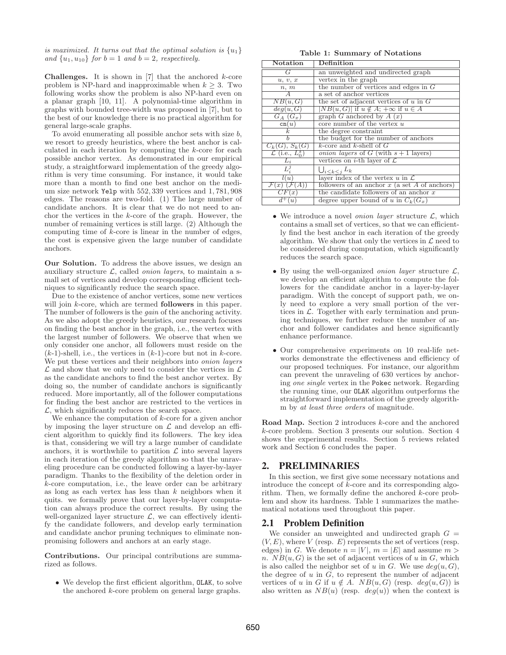is maximized. It turns out that the optimal solution is  $\{u_1\}$ and  $\{u_1, u_{10}\}$  for  $b = 1$  and  $b = 2$ , respectively.

**Challenges.** It is shown in  $[7]$  that the anchored  $k$ -core problem is NP-hard and inapproximable when  $k \geq 3$ . Two following works show the problem is also NP-hard even on a planar graph [10, 11]. A polynomial-time algorithm in graphs with bounded tree-width was proposed in [7], but to the best of our knowledge there is no practical algorithm for general large-scale graphs.

To avoid enumerating all possible anchor sets with size  $b$ , we resort to greedy heuristics, where the best anchor is calculated in each iteration by computing the k-core for each possible anchor vertex. As demonstrated in our empirical study, a straightforward implementation of the greedy algorithm is very time consuming. For instance, it would take more than a month to find one best anchor on the medium size network Yelp with 552, 339 vertices and 1, 781, 908 edges. The reasons are two-fold. (1) The large number of candidate anchors. It is clear that we do not need to anchor the vertices in the k-core of the graph. However, the number of remaining vertices is still large. (2) Although the computing time of  $k$ -core is linear in the number of edges, the cost is expensive given the large number of candidate anchors.

**Our Solution.** To address the above issues, we design an auxiliary structure  $\mathcal{L}$ , called *onion layers*, to maintain a small set of vertices and develop corresponding efficient techniques to significantly reduce the search space.

Due to the existence of anchor vertices, some new vertices will join *k*-core, which are termed **followers** in this paper. The number of followers is the *gain* of the anchoring activity. As we also adopt the greedy heuristics, our research focuses on finding the best anchor in the graph, i.e., the vertex with the largest number of followers. We observe that when we only consider one anchor, all followers must reside on the  $(k-1)$ -shell, i.e., the vertices in  $(k-1)$ -core but not in  $k$ -core. We put these vertices and their neighbors into onion layers  $\mathcal L$  and show that we only need to consider the vertices in  $\mathcal L$ as the candidate anchors to find the best anchor vertex. By doing so, the number of candidate anchors is significantly reduced. More importantly, all of the follower computations for finding the best anchor are restricted to the vertices in  $\mathcal{L}$ , which significantly reduces the search space.

We enhance the computation of  $k$ -core for a given anchor by imposing the layer structure on  $\mathcal L$  and develop an efficient algorithm to quickly find its followers. The key idea is that, considering we will try a large number of candidate anchors, it is worthwhile to partition  $\mathcal L$  into several layers in each iteration of the greedy algorithm so that the unraveling procedure can be conducted following a layer-by-layer paradigm. Thanks to the flexibility of the deletion order in k-core computation, i.e., the leave order can be arbitrary as long as each vertex has less than  $k$  neighbors when it quits. we formally prove that our layer-by-layer computation can always produce the correct results. By using the well-organized layer structure  $\mathcal{L}$ , we can effectively identify the candidate followers, and develop early termination and candidate anchor pruning techniques to eliminate nonpromising followers and anchors at an early stage.

**Contributions.** Our principal contributions are summarized as follows.

• We develop the first efficient algorithm, OLAK, to solve the anchored k-core problem on general large graphs.

**Table 1: Summary of Notations**

| Notation                            | Definition                                           |  |
|-------------------------------------|------------------------------------------------------|--|
| G                                   | an unweighted and undirected graph                   |  |
| u, v, x                             | vertex in the graph                                  |  |
| n, m                                | the number of vertices and edges in $G$              |  |
|                                     | a set of anchor vertices                             |  |
| NB(u, G)                            | the set of adjacent vertices of $u$ in $G$           |  |
| deg(u, G)                           | $ NB(u,G) $ if $u \notin A$ ; $+\infty$ if $u \in A$ |  |
| $G_A$ $(G_x)$                       | graph G anchored by $A(x)$                           |  |
| cn(u)                               | $\frac{1}{2}$ core number of the vertex u            |  |
| the degree constraint<br>k.         |                                                      |  |
| b                                   | the budget for the number of anchors                 |  |
| $C_k(G), S_k(G)$                    | k-core and k-shell of $G$                            |  |
| $\mathcal{L}$ (i.e., $L_0^s$ )      | <i>onion layers</i> of G (with $s + 1$ layers)       |  |
| $L_i$                               | vertices on <i>i</i> -th layer of $\mathcal L$       |  |
| $L_i^j$                             | $\bigcup_{i \leq k \leq j} L_k$                      |  |
| l(u)                                | layer index of the vertex $u$ in $\mathcal L$        |  |
| $\mathcal{F}(x)$ $(\mathcal{F}(A))$ | followers of an anchor $x$ (a set $A$ of anchors)    |  |
| $\overline{C}F(x)$                  | the candidate followers of an anchor $x$             |  |
| $d^+(u)$                            | degree upper bound of u in $C_k(G_x)$                |  |
|                                     |                                                      |  |

- We introduce a novel *onion layer* structure  $\mathcal{L}$ , which contains a small set of vertices, so that we can efficiently find the best anchor in each iteration of the greedy algorithm. We show that only the vertices in  $\mathcal L$  need to be considered during computation, which significantly reduces the search space.
- By using the well-organized *onion layer* structure  $\mathcal{L}$ , we develop an efficient algorithm to compute the followers for the candidate anchor in a layer-by-layer paradigm. With the concept of support path, we only need to explore a very small portion of the vertices in  $\mathcal{L}$ . Together with early termination and pruning techniques, we further reduce the number of anchor and follower candidates and hence significantly enhance performance.
- Our comprehensive experiments on 10 real-life networks demonstrate the effectiveness and efficiency of our proposed techniques. For instance, our algorithm can prevent the unraveling of 630 vertices by anchoring one single vertex in the Pokec network. Regarding the running time, our OLAK algorithm outperforms the straightforward implementation of the greedy algorithm by at least three orders of magnitude.

**Road Map.** Section 2 introduces k-core and the anchored k-core problem. Section 3 presents our solution. Section 4 shows the experimental results. Section 5 reviews related work and Section 6 concludes the paper.

# 2. PRELIMINARIES

In this section, we first give some necessary notations and introduce the concept of k-core and its corresponding algorithm. Then, we formally define the anchored k-core problem and show its hardness. Table 1 summarizes the mathematical notations used throughout this paper.

# 2.1 Problem Definition

We consider an unweighted and undirected graph  $G =$  $(V, E)$ , where V (resp. E) represents the set of vertices (resp. edges) in G. We denote  $n = |V|$ ,  $m = |E|$  and assume  $m >$ n.  $NB(u, G)$  is the set of adjacent vertices of u in G, which is also called the neighbor set of u in G. We use  $deg(u, G)$ , the degree of  $u$  in  $G$ , to represent the number of adjacent vertices of u in G if  $u \notin A$ .  $NB(u, G)$  (resp.  $deg(u, G)$ ) is also written as  $NB(u)$  (resp.  $deg(u)$ ) when the context is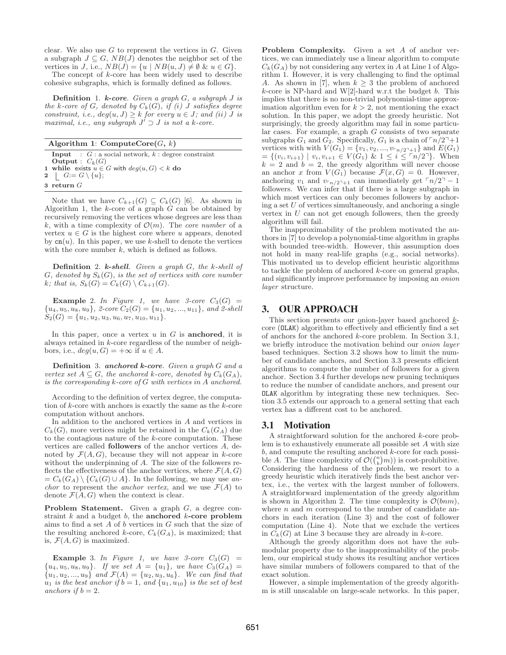clear. We also use  $G$  to represent the vertices in  $G$ . Given a subgraph  $J \subseteq G$ ,  $NB(J)$  denotes the neighbor set of the vertices in J, i.e.,  $NB(J) = \{u \mid NB(u, J) \neq \emptyset \& u \in G\}.$ 

The concept of  $k$ -core has been widely used to describe cohesive subgraphs, which is formally defined as follows.

**Definition** 1. *k-core*. Given a graph G, a subgraph J is the k-core of G, denoted by  $C_k(G)$ , if (i) J satisfies degree constraint, i.e.,  $deg(u, J) \geq k$  for every  $u \in J$ ; and (ii) J is maximal, i.e., any subgraph  $J' \supset J$  is not a k-core.

| Algorithm 1: ComputeCore $(G, k)$                              |  |  |  |
|----------------------------------------------------------------|--|--|--|
| <b>Input</b> : $G$ : a social network, $k$ : degree constraint |  |  |  |
| Output : $C_k(G)$                                              |  |  |  |
| 1 while exists $u \in G$ with $deg(u, G) < k$ do               |  |  |  |
| 2   $G := G \setminus \{u\};$                                  |  |  |  |
| 3 return $G$                                                   |  |  |  |

Note that we have  $C_{k+1}(G) \subseteq C_k(G)$  [6]. As shown in Algorithm 1, the  $k$ -core of a graph  $G$  can be obtained by recursively removing the vertices whose degrees are less than k, with a time complexity of  $\mathcal{O}(m)$ . The *core number* of a vertex  $u \in G$  is the highest core where u appears, denoted by  $cn(u)$ . In this paper, we use k-shell to denote the vertices with the core number  $k$ , which is defined as follows.

**Definition** 2. *k-shell*. Given a graph G, the k-shell of G, denoted by  $S_k(G)$ , is the set of vertices with core number k; that is,  $S_k(G) = C_k(G) \setminus C_{k+1}(G)$ .

**Example** 2. In Figure 1, we have 3-core  $C_3(G)$  =  ${u_4, u_5, u_8, u_9}, 2\text{-core } C_2(G) = {u_1, u_2, ..., u_{11}}, \text{ and } 2\text{-shell}$  $\tilde{S}_2(G) = \{u_1, u_2, u_3, u_6, u_7, u_{10}, u_{11}\}.$ 

In this paper, once a vertex  $u$  in  $G$  is **anchored**, it is always retained in k-core regardless of the number of neighbors, i.e.,  $deg(u, G) = +\infty$  if  $u \in A$ .

**Definition** 3. *anchored k-core*. Given a graph G and a vertex set  $A \subseteq G$ , the anchored k-core, denoted by  $C_k(G_A)$ , is the corresponding  $k$ -core of  $G$  with vertices in  $A$  anchored.

According to the definition of vertex degree, the computation of  $k$ -core with anchors is exactly the same as the  $k$ -core computation without anchors.

In addition to the anchored vertices in A and vertices in  $C_k(G)$ , more vertices might be retained in the  $C_k(G_A)$  due to the contagious nature of the k-core computation. These vertices are called **followers** of the anchor vertices A, denoted by  $\mathcal{F}(A, G)$ , because they will not appear in k-core without the underpinning of A. The size of the followers reflects the effectiveness of the anchor vertices, where  $\mathcal{F}(A, G)$  $= C_k(G_A) \setminus \{C_k(G) \cup A\}.$  In the following, we may use an*chor* to represent the *anchor vertex*, and we use  $\mathcal{F}(A)$  to denote  $\mathcal{F}(A, G)$  when the context is clear.

**Problem Statement.** Given a graph G, a degree constraint k and a budget b, the **anchored** k**-core problem** aims to find a set  $A$  of  $b$  vertices in  $G$  such that the size of the resulting anchored k-core,  $C_k(G_A)$ , is maximized; that is,  $\mathcal{F}(A, G)$  is maximized.

**Example** 3. In Figure 1, we have 3-core  $C_3(G)$  =  ${u_4, u_5, u_8, u_9}$ . If we set  $A = {u_1}$ , we have  $C_3(G_A) =$  ${u_1, u_2, ..., u_9}$  and  $F(A) = {u_2, u_3, u_6}$ . We can find that  $u_1$  is the best anchor if  $b = 1$ , and  $\{u_1, u_{10}\}$  is the set of best anchors if  $b = 2$ .

**Problem Complexity.** Given a set A of anchor vertices, we can immediately use a linear algorithm to compute  $C_k(G_A)$  by not considering any vertex in A at Line 1 of Algorithm 1. However, it is very challenging to find the optimal A. As shown in [7], when  $k \geq 3$  the problem of anchored  $k$ -core is NP-hard and W[2]-hard w.r.t the budget  $b$ . This implies that there is no non-trivial polynomial-time approximation algorithm even for  $k > 2$ , not mentioning the exact solution. In this paper, we adopt the greedy heuristic. Not surprisingly, the greedy algorithm may fail in some particular cases. For example, a graph G consists of two separate subgraphs  $G_1$  and  $G_2$ . Specifically,  $G_1$  is a chain of  $\lceil n/2 \rceil + 1$ vertices with with  $V(G_1) = \{v_1, v_2, ..., v_{r_n/2^{r+1}}\}$  and  $E(G_1)$ <br>  $= \{ (v_1, v_2, ...) \mid v_1, v_2 \in V(G_1) \}$  for  $1 \le i \le \lceil n/2 \rceil!$ . When  $=\{(v_i, v_{i+1}) \mid v_i, v_{i+1} \in V(G_1) \& 1 \leq i \leq \lceil n/2 \rceil\}$ . When<br> $h=2$  and  $h=2$  the greedy elgenthm will never chases  $k = 2$  and  $b = 2$ , the greedy algorithm will never choose an anchor x from  $V(G_1)$  because  $\mathcal{F}(x, G) = 0$ . However, anchoring  $v_1$  and  $v_{r_n/2}$ <sup>+</sup>+1 can immediately get  $\lceil n/2 \rceil - 1$ <br>followers. We can infer that if there is a large subgraph in followers. We can infer that if there is a large subgraph in which most vertices can only becomes followers by anchoring a set  $U$  of vertices simultaneously, and anchoring a single vertex in  $U$  can not get enough followers, then the greedy algorithm will fail.

The inapproximability of the problem motivated the authors in [7] to develop a polynomial-time algorithm in graphs with bounded tree-width. However, this assumption does not hold in many real-life graphs (e.g., social networks). This motivated us to develop efficient heuristic algorithms to tackle the problem of anchored k-core on general graphs, and significantly improve performance by imposing an onion layer structure.

# 3. OUR APPROACH

This section presents our onion-layer based anchored kcore (OLAK) algorithm to effectively and efficiently find a set of anchors for the anchored k-core problem. In Section 3.1, we briefly introduce the motivation behind our onion layer based techniques. Section 3.2 shows how to limit the number of candidate anchors, and Section 3.3 presents efficient algorithms to compute the number of followers for a given anchor. Section 3.4 further develops new pruning techniques to reduce the number of candidate anchors, and present our OLAK algorithm by integrating these new techniques. Section 3.5 extends our approach to a general setting that each vertex has a different cost to be anchored.

# 3.1 Motivation

A straightforward solution for the anchored k-core problem is to exhaustively enumerate all possible set A with size b, and compute the resulting anchored k-core for each possible A. The time complexity of  $\mathcal{O}(\binom{n}{b}m)$  is cost-prohibitive. Considering the hardness of the problem, we resort to a greedy heuristic which iteratively finds the best anchor vertex, i.e., the vertex with the largest number of followers. A straightforward implementation of the greedy algorithm is shown in Algorithm 2. The time complexity is  $\mathcal{O}(bnm)$ , where  $n$  and  $m$  correspond to the number of candidate anchors in each iteration (Line 3) and the cost of follower computation (Line 4). Note that we exclude the vertices in  $C_k(G)$  at Line 3 because they are already in k-core.

Although the greedy algorithm does not have the submodular property due to the inapproximability of the problem, our empirical study shows its resulting anchor vertices have similar numbers of followers compared to that of the exact solution.

However, a simple implementation of the greedy algorithm is still unscalable on large-scale networks. In this paper,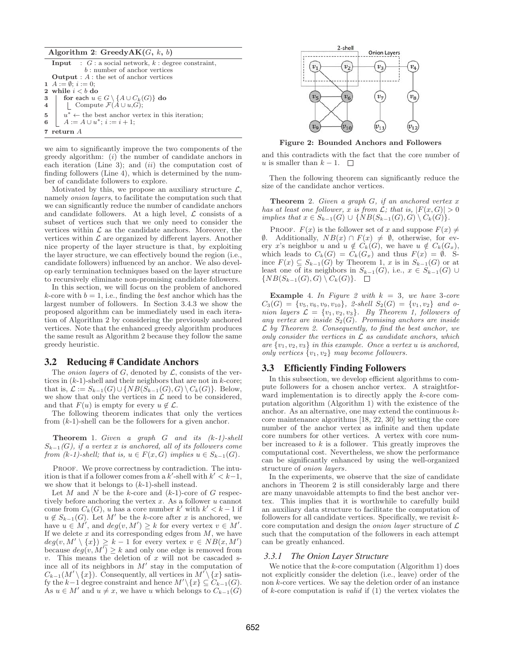### **Algorithm 2: GreedyAK** $(G, k, b)$

**Input** :  $G$  : a social network,  $k$  : degree constraint, b : number of anchor vertices **Output** : A : the set of anchor vertices **1**  $A := \emptyset$ ;  $i := 0$ ;<br>**2** while  $i < b$  do **while**  $i < b$  **do**  $\begin{array}{c} \textbf{3} \ \textbf{4} \ \textbf{5} \ \textbf{6} \ \textbf{7} \ \textbf{7} \ \textbf{8} \ \textbf{8} \ \textbf{9} \ \textbf{1} \ \textbf{1} \ \textbf{2} \ \textbf{3} \ \textbf{5} \ \textbf{6} \ \textbf{7} \ \textbf{8} \ \textbf{1} \ \textbf{2} \ \textbf{3} \ \textbf{4} \ \textbf{5} \ \textbf{6} \ \textbf{7} \ \textbf{7} \ \textbf{8} \ \textbf{9} \ \textbf{1} \ \textbf{2} \ \textbf{6} \ \textbf$ **5**  $u^* \leftarrow$  the best anchor vertex in this iteration;<br>**6**  $A := A \cup u^*$ :  $i := i + 1$ :  $A := A \cup u^*; i := i + 1;$ **7 return** A

we aim to significantly improve the two components of the greedy algorithm:  $(i)$  the number of candidate anchors in each iteration (Line 3); and  $(ii)$  the computation cost of finding followers (Line 4), which is determined by the number of candidate followers to explore.

Motivated by this, we propose an auxiliary structure  $\mathcal{L}$ , namely *onion layers*, to facilitate the computation such that we can significantly reduce the number of candidate anchors and candidate followers. At a high level,  $\mathcal L$  consists of a subset of vertices such that we only need to consider the vertices within  $\mathcal L$  as the candidate anchors. Moreover, the vertices within  $\mathcal L$  are organized by different layers. Another nice property of the layer structure is that, by exploiting the layer structure, we can effectively bound the region (i.e., candidate followers) influenced by an anchor. We also develop early termination techniques based on the layer structure to recursively eliminate non-promising candidate followers.

In this section, we will focus on the problem of anchored k-core with  $b = 1$ , i.e., finding the *best* anchor which has the largest number of followers. In Section 3.4.3 we show the proposed algorithm can be immediately used in each iteration of Algorithm 2 by considering the previously anchored vertices. Note that the enhanced greedy algorithm produces the same result as Algorithm 2 because they follow the same greedy heuristic.

# 3.2 Reducing # Candidate Anchors

The *onion layers* of  $G$ , denoted by  $\mathcal{L}$ , consists of the vertices in  $(k-1)$ -shell and their neighbors that are not in  $k$ -core; that is,  $\mathcal{L} := S_{k-1}(G) \cup \{ NB(S_{k-1}(G), G) \setminus C_k(G) \}.$  Below, we show that only the vertices in  $\mathcal L$  need to be considered, and that  $F(u)$  is empty for every  $u \notin \mathcal{L}$ .

The following theorem indicates that only the vertices from (k-1)-shell can be the followers for a given anchor.

**Theorem** 1. Given a graph G and its (k-1)-shell  $S_{k-1}(G)$ , if a vertex x is anchored, all of its followers come from  $(k-1)$ -shell; that is,  $u \in F(x, G)$  implies  $u \in S_{k-1}(G)$ .

PROOF. We prove correctness by contradiction. The intuition is that if a follower comes from a  $k'$ -shell with  $k' < k-1$ , we show that it belongs to  $(k-1)$ -shell instead.

Let M and N be the k-core and  $(k-1)$ -core of G respectively before anchoring the vertex  $x$ . As a follower  $u$  cannot come from  $C_k(G)$ , u has a core number k' with  $k' < k - 1$  if  $u \notin S_{k-1}(G)$ . Let M' be the k-core after x is anchored, we have  $u \in M'$ , and  $deg(v, M') \geq k$  for every vertex  $v \in M'$ . If we delete  $x$  and its corresponding edges from  $M$ , we have  $deg(v, M' \setminus \{x\}) \geq k - 1$  for every vertex  $v \in NB(x, M')$ because  $deg(v, M') \geq k$  and only one edge is removed from  $v$ . This means the deletion of  $x$  will not be cascaded since all of its neighbors in  $M'$  stay in the computation of  $C_{k-1}(M' \setminus \{x\})$ . Consequently, all vertices in  $M' \setminus \{x\}$  satis-<br>fact be let a degree constraint and hence  $M' \setminus \{x\} \subseteq C$  (C) fy the k-1 degree constraint and hence  $M'\setminus \{x\} \subseteq C_{k-1}(G)$ . As  $u \in M'$  and  $u \neq x$ , we have u which belongs to  $C_{k-1}(G)$ 



**Figure 2: Bounded Anchors and Followers**

and this contradicts with the fact that the core number of u is smaller than  $k-1$ .  $\Box$ 

Then the following theorem can significantly reduce the size of the candidate anchor vertices.

**Theorem** 2. Given a graph  $G$ , if an anchored vertex  $x$ has at least one follower, x is from  $\mathcal{L}$ ; that is,  $|F(x, G)| > 0$ implies that  $x \in S_{k-1}(G) \cup \{NB(S_{k-1}(G), G) \setminus C_k(G)\}.$ 

PROOF.  $F(x)$  is the follower set of x and suppose  $F(x) \neq$  $\emptyset$ . Additionally,  $NB(x) \cap F(x) \neq \emptyset$ , otherwise, for every x's neighbor u and  $u \notin C_k(G)$ , we have  $u \notin C_k(G_x)$ , which leads to  $C_k(G) = C_k(G_x)$  and thus  $F(x) = \emptyset$ . Since  $F(x) \subseteq S_{k-1}(G)$  by Theorem 1, x is in  $S_{k-1}(G)$  or at least one of its neighbors in  $S_{k-1}(G)$ , i.e.,  $x \in S_{k-1}(G)$  ∪  $\{NB(S_{k-1}(G), G) \setminus C_k(G)\}. \square$ 

**Example** 4. In Figure 2 with  $k = 3$ , we have 3-core  $C_3(G) = \{v_5, v_6, v_9, v_{10}\},\; 2\text{-shell } S_2(G) = \{v_1, v_2\}$  and onion layers  $\mathcal{L} = \{v_1, v_2, v_3\}$ . By Theorem 1, followers of any vertex are inside  $S_2(G)$ . Promising anchors are inside  $\mathcal L$  by Theorem 2. Consequently, to find the best anchor, we only consider the vertices in  $\mathcal L$  as candidate anchors, which are  $\{v_1, v_2, v_3\}$  in this example. Once a vertex u is anchored, only vertices  $\{v_1, v_2\}$  may become followers.

# 3.3 Efficiently Finding Followers

In this subsection, we develop efficient algorithms to compute followers for a chosen anchor vertex. A straightforward implementation is to directly apply the k-core computation algorithm (Algorithm 1) with the existence of the anchor. As an alternative, one may extend the continuous kcore maintenance algorithms [18, 22, 30] by setting the core number of the anchor vertex as infinite and then update core numbers for other vertices. A vertex with core number increased to  $k$  is a follower. This greatly improves the computational cost. Nevertheless, we show the performance can be significantly enhanced by using the well-organized structure of onion layers.

In the experiments, we observe that the size of candidate anchors in Theorem 2 is still considerably large and there are many unavoidable attempts to find the best anchor vertex. This implies that it is worthwhile to carefully build an auxiliary data structure to facilitate the computation of followers for all candidate vertices. Specifically, we revisit  $k$ core computation and design the *onion layer* structure of  $\mathcal{L}$ such that the computation of the followers in each attempt can be greatly enhanced.

#### *3.3.1 The Onion Layer Structure*

We notice that the  $k$ -core computation (Algorithm 1) does not explicitly consider the deletion (i.e., leave) order of the non k-core vertices. We say the deletion order of an instance of k-core computation is *valid* if  $(1)$  the vertex violates the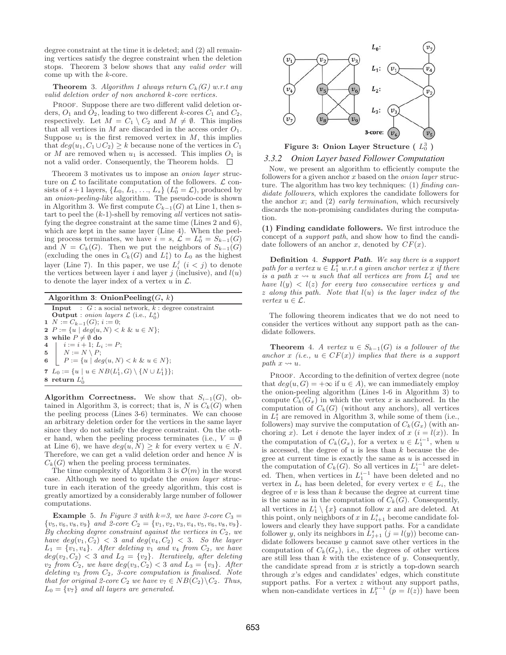degree constraint at the time it is deleted; and (2) all remaining vertices satisfy the degree constraint when the deletion stops. Theorem 3 below shows that any valid order will come up with the k-core.

**Theorem** 3. Algorithm 1 always return  $C_k(G)$  w.r.t any valid deletion order of non anchored k-core vertices.

PROOF. Suppose there are two different valid deletion orders,  $O_1$  and  $O_2$ , leading to two different k-cores  $C_1$  and  $C_2$ , respectively. Let  $M = C_1 \setminus C_2$  and  $M \neq \emptyset$ . This implies that all vertices in M are discarded in the access order  $O_1$ . Suppose  $u_1$  is the first removed vertex in  $M$ , this implies that  $deg(u_1, C_1 \cup C_2) \geq k$  because none of the vertices in  $C_1$ or  $M$  are removed when  $u_1$  is accessed. This implies  $O_1$  is not a valid order. Consequently, the Theorem holds.  $\square$ 

Theorem 3 motivates us to impose an onion layer structure on  $\mathcal L$  to facilitate computation of the followers.  $\mathcal L$  consists of  $s+1$  layers,  $\{L_0, L_1, ..., L_s\}$   $(L_0^s = \mathcal{L})$ , produced by<br>one orient negling like algorithm. The possue each is shown an onion-peeling-like algorithm. The pseudo-code is shown in Algorithm 3. We first compute  $C_{k-1}(G)$  at Line 1, then start to peel the  $(k-1)$ -shell by removing all vertices not satisfying the degree constraint at the same time (Lines 2 and 6), which are kept in the same layer (Line 4). When the peeling process terminates, we have  $i = s$ ,  $\mathcal{L} = L_0^s = S_{k-1}(G)$ and  $N = C_k(G)$ . Then we put the neighbors of  $S_{k-1}(G)$ (excluding the ones in  $C_k(G)$  and  $L_1^s$ ) to  $L_0$  as the highest layer (Line 7). In this paper, we use  $L_i^j$   $(i < j)$  to denote the vertices between layer *i* and layer *i* (inclusive) and  $l(u)$ the vertices between layer i and layer j (inclusive), and  $l(u)$ to denote the layer index of a vertex  $u$  in  $\mathcal{L}$ .

|  | Algorithm 3: OnionPeeling( $G, k$ ) |
|--|-------------------------------------|
|--|-------------------------------------|

**Input** :  $G$  : a social network,  $k$  : degree constraint **Output** : *onion layers*  $\mathcal{L}$  (i.e.,  $L_0^s$ ) **1**  $N := C_{k-1}(G); i := 0;$ **2**  $P := \{u \mid deg(u, N) < k \& u \in N\};$ **3** while  $P \neq \emptyset$  do<br>**4**  $i := i + 1; L_i$ **4**  $i := i + 1; L_i := P;$ <br>**5**  $N := N \setminus P;$ **5**  $N := N \setminus P;$ <br>**6**  $P := \{u \mid de\}$  $P := \{u \mid deg(u, N) < k \& u \in N\};$ 7  $L_0 := \{u \mid u \in NB(L_1^i, G) \setminus \{N \cup L_1^i\} \};$  $\mathbf{s}$  return  $L_0^i$ 

**Algorithm Correctness.** We show that  $S_{i-1}(G)$ , obtained in Algorithm 3, is correct; that is, N is  $C_k(G)$  when the peeling process (Lines 3-6) terminates. We can choose an arbitrary deletion order for the vertices in the same layer since they do not satisfy the degree constraint. On the other hand, when the peeling process terminates (i.e.,  $V = \emptyset$ at Line 6), we have  $deg(u, N) \geq k$  for every vertex  $u \in N$ . Therefore, we can get a valid deletion order and hence  $N$  is  $C_k(G)$  when the peeling process terminates.

The time complexity of Algorithm 3 is  $\mathcal{O}(m)$  in the worst case. Although we need to update the onion layer structure in each iteration of the greedy algorithm, this cost is greatly amortized by a considerably large number of follower computations.

**Example** 5. In Figure 3 with  $k=3$ , we have 3-core  $C_3 =$  ${v_5, v_6, v_8, v_9}$  and 2-core  $C_2 = {v_1, v_2, v_3, v_4, v_5, v_6, v_8, v_9}.$ By checking degree constraint against the vertices in  $C_2$ , we have  $deg(v_1, C_2)$  < 3 and  $deg(v_4, C_2)$  < 3. So the layer  $L_1 = \{v_1, v_4\}$ . After deleting  $v_1$  and  $v_4$  from  $C_2$ , we have  $deg(v_2, C_2) < 3$  and  $L_2 = \{v_2\}$ . Iteratively, after deleting  $v_2$  from  $C_2$ , we have  $deg(v_3, C_2) < 3$  and  $L_3 = \{v_3\}$ . After deleting  $v_3$  from  $C_2$ , 3-core computation is finalised. Note that for original 2-core  $C_2$  we have  $v_7 \in NB(C_2) \backslash C_2$ . Thus,  $L_0 = \{v_7\}$  and all layers are generated.



*3.3.2 Onion Layer based Follower Computation*

Now, we present an algorithm to efficiently compute the followers for a given anchor  $x$  based on the *onion layer* structure. The algorithm has two key techniques: (1) finding candidate followers, which explores the candidate followers for the anchor  $x$ ; and  $(2)$  *early termination*, which recursively discards the non-promising candidates during the computation.

**(1) Finding candidate followers.** We first introduce the concept of a support path, and show how to find the candidate followers of an anchor x, denoted by  $CF(x)$ .

**Definition** 4. *Support Path*. We say there is a support path for a vertex  $u \in L_1^s$  w.r.t a given anchor vertex x if there is a path  $x \leadsto u$  such that all vertices are from  $L_1^s$  and we have  $l(y) < l(z)$  for every two consecutive vertices y and z along this path. Note that  $l(u)$  is the layer index of the vertex  $u \in \mathcal{L}$ .

The following theorem indicates that we do not need to consider the vertices without any support path as the candidate followers.

**Theorem** 4. A vertex  $u \in S_{k-1}(G)$  is a follower of the anchor x (i.e.,  $u \in CF(x)$ ) implies that there is a support path  $x \rightsquigarrow u$ .

PROOF. According to the definition of vertex degree (note that  $deg(u, G) = +\infty$  if  $u \in A$ , we can immediately employ the onion-peeling algorithm (Lines 1-6 in Algorithm 3) to compute  $C_k(G_x)$  in which the vertex x is anchored. In the computation of  $C_k(G)$  (without any anchors), all vertices in  $L_1^s$  are removed in Algorithm 3, while some of them (i.e., followers) may survive the computation of  $C_k(G_x)$  (with anchoring x). Let i denote the layer index of  $x$   $(i = l(x))$ . In the computation of  $C_k(G_x)$ , for a vertex  $u \in L_1^{i-1}$ , when u is accessed, the degree of  $u$  is less than  $k$  because the degree at current time is exactly the same as  $u$  is accessed in the computation of  $C_k(G)$ . So all vertices in  $L_1^{i-1}$  are deleted. Then, when vertices in  $L_1^{i-1}$  have been deleted and no vertex in  $L_i$  has been deleted, for every vertex  $v \in L_i$ , the degree of  $v$  is less than  $k$  because the degree at current time is the same as in the computation of  $C_k(G)$ . Consequently, all vertices in  $L_1^i \setminus \{x\}$  cannot follow x and are deleted. At this point, only neighbors of  $x$  in  $L_{i+1}^s$  become candidate fol-<br>lowers and clearly thoy have support paths. For a candidate lowers and clearly they have support paths. For a candidate follower y, only its neighbors in  $L_{j+1}^s$   $(j = l(y))$  become can-<br>didate followers because y cannot say other vertices in the didate followers because  $y$  cannot save other vertices in the computation of  $C_k(G_x)$ , i.e., the degrees of other vertices are still less than  $k$  with the existence of  $y$ . Consequently, the candidate spread from  $x$  is strictly a top-down search through x's edges and candidates' edges, which constitute support paths. For a vertex  $z$  without any support paths, when non-candidate vertices in  $L_1^{p-1}$   $(p = l(z))$  have been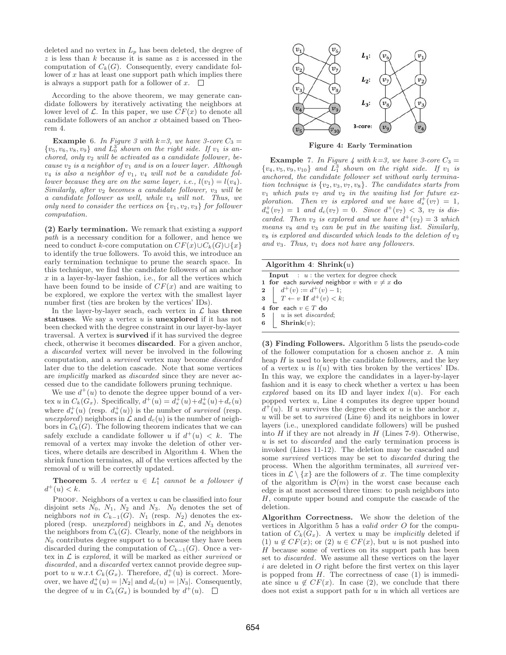deleted and no vertex in  $L_p$  has been deleted, the degree of  $z$  is less than  $k$  because it is same as  $z$  is accessed in the computation of  $C_k(G)$ . Consequently, every candidate follower of  $x$  has at least one support path which implies there is always a support path for a follower of x.  $\Box$ 

According to the above theorem, we may generate candidate followers by iteratively activating the neighbors at lower level of  $\mathcal L$ . In this paper, we use  $CF(x)$  to denote all candidate followers of an anchor x obtained based on Theorem 4.

**Example** 6. In Figure 3 with  $k=3$ , we have 3-core  $C_3 =$  $\{v_5, v_6, v_8, v_9\}$  and  $L_0^3$  shown on the right side. If  $v_1$  is anchored, only  $v_2$  will be activated as a candidate follower, because  $v_2$  is a neighbor of  $v_1$  and is on a lower layer. Although  $v_4$  is also a neighbor of  $v_1$ ,  $v_4$  will not be a candidate follower because they are on the same layer, i.e.,  $l(v_1) = l(v_4)$ . Similarly, after  $v_2$  becomes a candidate follower,  $v_3$  will be a candidate follower as well, while  $v_4$  will not. Thus, we only need to consider the vertices on  $\{v_1, v_2, v_3\}$  for follower computation.

**(2) Early termination.** We remark that existing a support path is a necessary condition for a follower, and hence we need to conduct k-core computation on  $CF(x) \cup C_k(G) \cup \{x\}$ to identify the true followers. To avoid this, we introduce an early termination technique to prune the search space. In this technique, we find the candidate followers of an anchor  $x$  in a layer-by-layer fashion, i.e., for all the vertices which have been found to be inside of  $CF(x)$  and are waiting to be explored, we explore the vertex with the smallest layer number first (ties are broken by the vertices' IDs).

In the layer-by-layer seach, each vertex in  $\mathcal L$  has **three statuses**. We say a vertex  $u$  is **unexplored** if it has not been checked with the degree constraint in our layer-by-layer traversal. A vertex is **survived** if it has survived the degree check, otherwise it becomes **discarded**. For a given anchor, a discarded vertex will never be involved in the following computation, and a survived vertex may become discarded later due to the deletion cascade. Note that some vertices are implicitly marked as discarded since they are never accessed due to the candidate followers pruning technique.

We use  $d^+(u)$  to denote the degree upper bound of a vertex u in  $C_k(G_x)$ . Specifically,  $d^+(u) = d_s^+(u) + d_u^+(u) + d_c(u)$ where  $d^+_s(u)$  (resp.  $d^+_u(u)$ ) is the number of survived (resp.<br>unexplored) point hors in  $\zeta$  and  $d(u)$  is the number of point. unexplored) neighbors in  $\mathcal L$  and  $d_c(u)$  is the number of neighbors in  $C_k(G)$ . The following theorem indicates that we can safely exclude a candidate follower u if  $d^+(u) < k$ . The removal of a vertex may invoke the deletion of other vertices, where details are described in Algorithm 4. When the shrink function terminates, all of the vertices affected by the removal of u will be correctly updated.

**Theorem** 5. A vertex  $u \in L_1^s$  cannot be a follower if  $d^+(u) < k$ .

PROOF. Neighbors of a vertex  $u$  can be classified into four disjoint sets  $N_0$ ,  $N_1$ ,  $N_2$  and  $N_3$ .  $N_0$  denotes the set of neighbors not in  $C_{k-1}(G)$ . N<sub>1</sub> (resp. N<sub>2</sub>) denotes the explored (resp. *unexplored*) neighbors in  $\mathcal{L}$ , and  $N_3$  denotes the neighbors from  $C_k(G)$ . Clearly, none of the neighbors in  $N_0$  contributes degree support to  $u$  because they have been discarded during the computation of  $C_{k-1}(G)$ . Once a vertex in  $\mathcal L$  is explored, it will be marked as either survived or discarded, and a discarded vertex cannot provide degree support to u w.r.t  $C_k(G_x)$ . Therefore,  $d^+_s(\mathbf{u})$  is correct. Moreover, we have  $d_u^+(u) = |N_2|$  and  $d_c(u) = |N_3|$ . Consequently, the degree of u in  $C_k(G_x)$  is bounded by  $d^+(u)$ .  $\square$ 



**Figure 4: Early Termination**

**Example** 7. In Figure 4 with  $k=3$ , we have 3-core  $C_3 =$  $\{v_4, v_5, v_9, v_{10}\}$  and  $L_1^3$  shown on the right side. If  $v_1$  is anchored, the candidate follower set without early termination technique is  $\{v_2, v_3, v_7, v_8\}$ . The candidates starts from  $v_1$  which puts  $v_7$  and  $v_2$  in the waiting list for future exploration. Then  $v_7$  is explored and we have  $d^+(v_7) = 1$ ,<br> $d^+(v_1) = 1$ , and  $d^-(v_1) = 0$ , Since  $d^+(v_1) \leq 2$ , we jointly  $d_u^+(v_7) = 1$  and  $d_c(v_7) = 0$ . Since  $d^+(v_7) < 3$ ,  $v_7$  is discarded. Then  $v_2$  is explored and we have  $d^+(v_2)=3$  which means v<sub>8</sub> and v<sub>3</sub> can be put in the waiting list. Similarly,  $v_8$  is explored and discarded which leads to the deletion of  $v_2$ and  $v_3$ . Thus,  $v_1$  does not have any followers.

| Algorithm 4: $\text{Shrink}(u)$                   |  |  |  |
|---------------------------------------------------|--|--|--|
| <b>Input</b> : $u$ : the vertex for degree check  |  |  |  |
| 1 for each survived neighbor v with $v \neq x$ do |  |  |  |
| <b>2</b> $d^+(v) := d^+(v) - 1;$                  |  |  |  |
| 3 $T \leftarrow v$ If $d^+(v) < k$ ;              |  |  |  |
| 4 for each $v \in T$ do                           |  |  |  |
| $5 \mid u$ is set <i>discarded</i> ;              |  |  |  |
| $6$ Shrink $(v)$ ;                                |  |  |  |
|                                                   |  |  |  |

**(3) Finding Followers.** Algorithm 5 lists the pseudo-code of the follower computation for a chosen anchor  $x$ . A min heap  $H$  is used to keep the candidate followers, and the key of a vertex  $u$  is  $l(u)$  with ties broken by the vertices' IDs. In this way, we explore the candidates in a layer-by-layer fashion and it is easy to check whether a vertex  $u$  has been explored based on its ID and layer index  $l(u)$ . For each popped vertex u, Line 4 computes its degree upper bound  $d^+(u)$ . If u survives the degree check or u is the anchor x, u will be set to survived (Line 6) and its neighbors in lower layers (i.e., unexplored candidate followers) will be pushed into  $H$  if they are not already in  $H$  (Lines 7-9). Otherwise, u is set to discarded and the early termination process is invoked (Lines 11-12). The deletion may be cascaded and some survived vertices may be set to discarded during the process. When the algorithm terminates, all survived vertices in  $\mathcal{L}\setminus\{x\}$  are the followers of x. The time complexity of the algorithm is  $\mathcal{O}(m)$  in the worst case because each edge is at most accessed three times: to push neighbors into H, compute upper bound and compute the cascade of the deletion.

**Algorithm Correctness.** We show the deletion of the vertices in Algorithm 5 has a valid order O for the computation of  $C_k(G_x)$ . A vertex u may be *implicitly* deleted if (1)  $u \notin CF(x)$ ; or (2)  $u \in CF(x)$ , but u is not pushed into H because some of vertices on its support path has been set to discarded. We assume all these vertices on the layer  $i$  are deleted in  ${\cal O}$  right before the first vertex on this layer is popped from  $H$ . The correctness of case  $(1)$  is immediate since  $u \notin CF(x)$ . In case (2), we conclude that there does not exist a support path for  $u$  in which all vertices are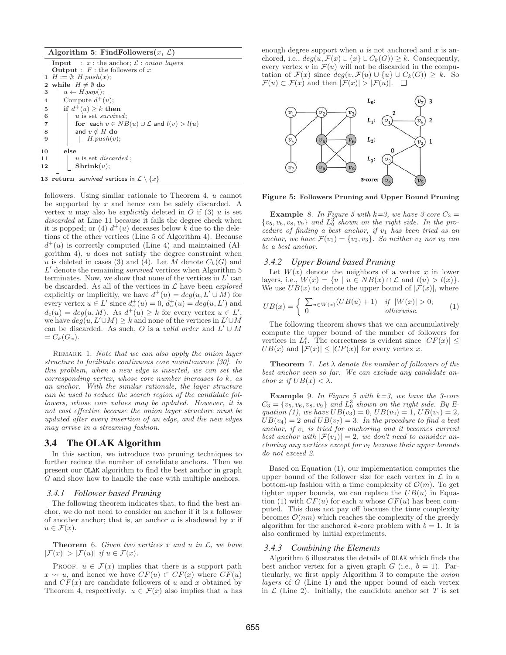**Algorithm 5: FindFollowers** $(x, \mathcal{L})$ <br>**Input** : x : the anchor;  $\mathcal{L}$  : onion lay  $\therefore$  x : the anchor;  $\mathcal{L}$  : *onion layers* **Output** :  $F$  : the followers of x **1**  $H := \emptyset$ ;  $H.push(x)$ ;<br>**2** while  $H \neq \emptyset$  do **2** while  $H \neq \emptyset$  do<br>**3**  $\downarrow u \leftarrow H.pop();$ **3**  $u \leftarrow H.pop();$ <br>**4** Compute  $d^+($ Compute  $d^+(u)$ ; **5 if**  $d^+(u) \geq k$  **then**<br>**6**  $\vert u \vert$  **is set** *survive* u is set survived; **7 for** each  $v \in NB(u) \cup \mathcal{L}$  and  $l(v) > l(u)$ <br>**8 and**  $v \notin H$  **do 8** and  $v \notin H$  **do**<br>**9**  $\left| \begin{array}{c} \text{and } v \notin H \text{ and } \\ \text{if } H.push(v) \end{array} \right|$  $H.push(v);$ **10 else 11** | u is set *discarded*; 12 | **Shrink** $(u)$ ; **13 return** *survived* vertices in  $\mathcal{L}\setminus\{x\}$ 

followers. Using similar rationale to Theorem 4, u cannot be supported by  $x$  and hence can be safely discarded. A vertex u may also be *explicitly* deleted in  $\overline{O}$  if (3) u is set discarded at Line 11 because it fails the degree check when it is popped; or (4)  $d^+(u)$  deceases below k due to the deletions of the other vertices (Line 5 of Algorithm 4). Because  $d^+(u)$  is correctly computed (Line 4) and maintained (Algorithm 4), u does not satisfy the degree constraint when u is deleted in cases (3) and (4). Let M denote  $C_k(G)$  and  $L'$  denote the remaining survived vertices when Algorithm 5 terminates. Now, we show that none of the vertices in  $L'$  can be discarded. As all of the vertices in  $\mathcal L$  have been explored explicitly or implicitly, we have  $d^+(u) = deg(u, L' \cup M)$  for every vertex  $u \in L'$  since  $d_s^+(u) = 0, d_u^+(u) = deg(u, L')$  and  $d_c(u) = deg(u, M)$ . As  $d^+(u) \geq k$  for every vertex  $u \in L'$ ,<br>we have dec(u,  $L' \cup M$ )  $\geq k$  and none of the vertices in  $L' \cup M$ we have  $deg(u, L' \cup M) \geq k$  and none of the vertices in  $L' \cup M$ can be discarded. As such, O is a valid order and  $L' \cup M$  $=C_k(G_x).$ 

REMARK 1. Note that we can also apply the onion layer structure to facilitate continuous core maintenance [30]. In this problem, when a new edge is inserted, we can set the corresponding vertex, whose core number increases to k, as an anchor. With the similar rationale, the layer structure can be used to reduce the search region of the candidate followers, whose core values may be updated. However, it is not cost effective because the onion layer structure must be updated after every insertion of an edge, and the new edges may arrive in a streaming fashion.

# 3.4 The OLAK Algorithm

In this section, we introduce two pruning techniques to further reduce the number of candidate anchors. Then we present our OLAK algorithm to find the best anchor in graph G and show how to handle the case with multiple anchors.

# *3.4.1 Follower based Pruning*

The following theorem indicates that, to find the best anchor, we do not need to consider an anchor if it is a follower of another anchor; that is, an anchor  $u$  is shadowed by  $x$  if  $u \in \mathcal{F}(x)$ .

**Theorem** 6. Given two vertices  $x$  and  $u$  in  $\mathcal{L}$ , we have  $|\mathcal{F}(x)| > |\mathcal{F}(u)|$  if  $u \in \mathcal{F}(x)$ .

PROOF.  $u \in \mathcal{F}(x)$  implies that there is a support path  $x \rightsquigarrow u$ , and hence we have  $CF(u) \subset CF(x)$  where  $CF(u)$ and  $CF(x)$  are candidate followers of u and x obtained by Theorem 4, respectively.  $u \in \mathcal{F}(x)$  also implies that u has

enough degree support when  $u$  is not anchored and  $x$  is anchored, i.e.,  $deg(u, \mathcal{F}(x) \cup \{x\} \cup C_k(G)) \geq k$ . Consequently, every vertex v in  $\mathcal{F}(u)$  will not be discarded in the computation of  $\mathcal{F}(x)$  since  $deg(v, \mathcal{F}(u) \cup \{u\} \cup C_k(G)) \geq k$ . So  $\mathcal{F}(u) \subset \mathcal{F}(x)$  and then  $|\mathcal{F}(x)| > |\mathcal{F}(u)|$ .  $\Box$ 



**Figure 5: Followers Pruning and Upper Bound Pruning**

**Example** 8. In Figure 5 with  $k=3$ , we have 3-core  $C_3 =$  $\{v_5, v_6, v_8, v_9\}$  and  $L_0^3$  shown on the right side. In the procedure of finding a best anchor, if  $v_1$  has been tried as an anchor, we have  $\mathcal{F}(v_1) = \{v_2, v_3\}$ . So neither  $v_2$  nor  $v_3$  can be a best anchor.

#### *3.4.2 Upper Bound based Pruning*

Let  $W(x)$  denote the neighbors of a vertex x in lower layers, i.e.,  $W(x) = \{u \mid u \in NB(x) \cap \mathcal{L} \text{ and } l(u) > l(x)\}.$ We use  $UB(x)$  to denote the upper bound of  $|\mathcal{F}(x)|$ , where

$$
UB(x) = \begin{cases} \sum_{u \in W(x)} (UB(u) + 1) & \text{if } |W(x)| > 0; \\ 0 & \text{otherwise.} \end{cases}
$$
 (1)

The following theorem shows that we can accumulatively compute the upper bound of the number of followers for vertices in  $L_1^s$ . The correctness is evident since  $|CF(x)| \le$  $UB(x)$  and  $|\mathcal{F}(x)| \leq |CF(x)|$  for every vertex x.

**Theorem** 7. Let  $\lambda$  denote the number of followers of the best anchor seen so far. We can exclude any candidate anchor x if  $UB(x) < \lambda$ .

**Example** 9. In Figure 5 with  $k=3$ , we have the 3-core  $C_3 = \{v_5, v_6, v_8, v_9\}$  and  $L_0^3$  shown on the right side. By Equation (1), we have  $UB(v_3)=0, UB(v_2)=1, UB(v_1)=2,$  $UB(v_4)=2$  and  $UB(v_7)=3$ . In the procedure to find a best anchor, if  $v_1$  is tried for anchoring and it becomes current best anchor with  $|\mathcal{F}(v_1)| = 2$ , we don't need to consider an $choring$  any vertices except for  $v_7$  because their upper bounds do not exceed 2.

Based on Equation (1), our implementation computes the upper bound of the follower size for each vertex in  $\mathcal L$  in a bottom-up fashion with a time complexity of  $\mathcal{O}(m)$ . To get tighter upper bounds, we can replace the  $UB(u)$  in Equation (1) with  $CF(u)$  for each u whose  $CF(u)$  has been computed. This does not pay off because the time complexity becomes  $\mathcal{O}(nm)$  which reaches the complexity of the greedy algorithm for the anchored k-core problem with  $b = 1$ . It is also confirmed by initial experiments.

#### *3.4.3 Combining the Elements*

Algorithm 6 illustrates the details of OLAK which finds the best anchor vertex for a given graph  $G$  (i.e.,  $b = 1$ ). Particularly, we first apply Algorithm 3 to compute the onion layers of G (Line 1) and the upper bound of each vertex in  $\mathcal L$  (Line 2). Initially, the candidate anchor set T is set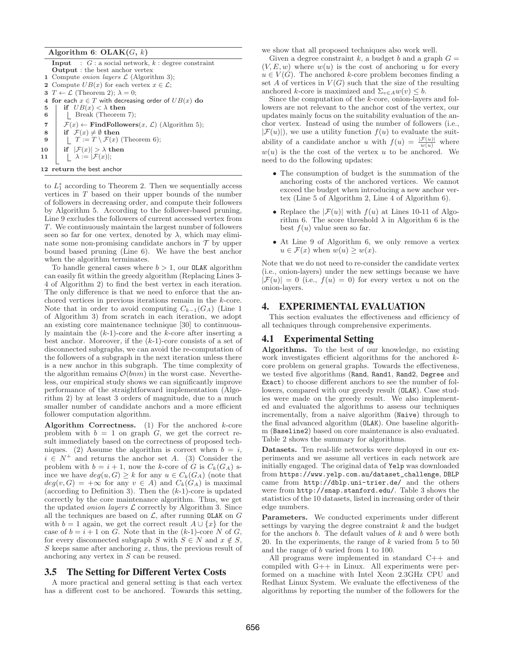**Algorithm 6:**  $OLAK(G, k)$ 

**Input** :  $G$  : a social network,  $k$  : degree constraint **Output** : the best anchor vertex Compute *onion layers*  $\mathcal{L}$  (Algorithm 3); Compute  $UB(x)$  for each vertex  $x \in \mathcal{L}$ ;  $T \leftarrow \mathcal{L}$  (Theorem 2);  $\lambda = 0$ ;<br>**4** for each  $x \in T$  with decreasi **for** each  $x \in T$  with decreasing order of  $UB(x)$  **do**<br>**5 i if**  $UB(x) < \lambda$  **then if**  $UB(x) < \lambda$  **then**  | Break (Theorem 7);  $\mathcal{F}(x) \leftarrow \textbf{FindFollowers}(x, \mathcal{L}) \text{ (Algorithm 5)}$ ;<br>**8** if  $\mathcal{F}(x) \neq \emptyset \textbf{then}$  **if**  $\mathcal{F}(x) \neq \emptyset$  **then**<br>**9**  $\vert$   $T := T \setminus \mathcal{F}(x)$  $\lfloor T \rfloor = T \setminus \mathcal{F}(x)$  (Theorem 6); **if**  $|\mathcal{F}(x)| > \lambda$  **then**<br>**11**  $\lambda := |\mathcal{F}(x)|$ :  $|\lambda := |\mathcal{F}(x)|;$ **return** the best anchor

to  $L_1^s$  according to Theorem 2. Then we sequentially access vertices in T based on their upper bounds of the number of followers in decreasing order, and compute their followers by Algorithm 5. According to the follower-based pruning, Line 9 excludes the followers of current accessed vertex from T. We continuously maintain the largest number of followers seen so far for one vertex, denoted by  $\lambda$ , which may eliminate some non-promising candidate anchors in  $\mathcal T$  by upper bound based pruning (Line 6). We have the best anchor when the algorithm terminates.

To handle general cases where  $b > 1$ , our **OLAK** algorithm can easily fit within the greedy algorithm (Replacing Lines 3- 4 of Algorithm 2) to find the best vertex in each iteration. The only difference is that we need to enforce that the anchored vertices in previous iterations remain in the k-core. Note that in order to avoid computing  $C_{k-1}(G_A)$  (Line 1 of Algorithm 3) from scratch in each iteration, we adopt an existing core maintenance technique [30] to continuously maintain the  $(k-1)$ -core and the k-core after inserting a best anchor. Moreover, if the  $(k-1)$ -core consists of a set of disconnected subgraphs, we can avoid the re-computation of the followers of a subgraph in the next iteration unless there is a new anchor in this subgraph. The time complexity of the algorithm remains  $\mathcal{O}(b n m)$  in the worst case. Nevertheless, our empirical study shows we can significantly improve performance of the straightforward implementation (Algorithm 2) by at least 3 orders of magnitude, due to a much smaller number of candidate anchors and a more efficient follower computation algorithm.

**Algorithm Correctness.** (1) For the anchored k-core problem with  $b = 1$  on graph G, we get the correct result immediately based on the correctness of proposed techniques. (2) Assume the algorithm is correct when  $b = i$ ,  $i \in N^+$  and returns the anchor set A. (3) Consider the problem with  $b = i + 1$ , now the k-core of G is  $C_k(G_A)$  since we have  $deg(u, G) \geq k$  for any  $u \in C_k(G_A)$  (note that  $deg(v, G) = +\infty$  for any  $v \in A$ ) and  $C_k(G_A)$  is maximal (according to Definition 3). Then the  $(k-1)$ -core is updated correctly by the core maintenance algorithm. Thus, we get the updated *onion layers*  $\mathcal L$  correctly by Algorithm 3. Since all the techniques are based on  $\mathcal{L}$ , after running OLAK on  $G$ with  $b = 1$  again, we get the correct result  $A \cup \{x\}$  for the case of  $b = i + 1$  on G. Note that in the  $(k-1)$ -core N of G, for every disconnected subgraph S with  $S \in N$  and  $x \notin S$ ,  $S$  keeps same after anchoring  $x$ , thus, the previous result of anchoring any vertex in S can be reused.

# 3.5 The Setting for Different Vertex Costs

A more practical and general setting is that each vertex has a different cost to be anchored. Towards this setting,

we show that all proposed techniques also work well.

Given a degree constraint k, a budget b and a graph  $G =$  $(V, E, w)$  where  $w(u)$  is the cost of anchoring u for every  $u \in V(G)$ . The anchored k-core problem becomes finding a set A of vertices in  $V(G)$  such that the size of the resulting anchored k-core is maximized and  $\Sigma_{v \in A} w(v) \leq b$ .

Since the computation of the k-core, onion-layers and followers are not relevant to the anchor cost of the vertex, our updates mainly focus on the suitability evaluation of the anchor vertex. Instead of using the number of followers (i.e.,  $|\mathcal{F}(u)|$ , we use a utility function  $f(u)$  to evaluate the suitability of a candidate anchor u with  $f(u) = \frac{|\mathcal{F}(u)|}{w(u)}$  where  $w(u)$  is the the cost of the vertex u to be anchored. We need to do the following updates:

- The consumption of budget is the summation of the anchoring costs of the anchored vertices. We cannot exceed the budget when introducing a new anchor vertex (Line 5 of Algorithm 2, Line 4 of Algorithm 6).
- Replace the  $|\mathcal{F}(u)|$  with  $f(u)$  at Lines 10-11 of Algorithm 6. The score threshold  $\lambda$  in Algorithm 6 is the best  $f(u)$  value seen so far.
- At Line 9 of Algorithm 6, we only remove a vertex  $u \in \mathcal{F}(x)$  when  $w(u) \geq w(x)$ .

Note that we do not need to re-consider the candidate vertex (i.e., onion-layers) under the new settings because we have  $|\mathcal{F}(u)| = 0$  (i.e.,  $f(u) = 0$ ) for every vertex u not on the onion-layers.

# 4. EXPERIMENTAL EVALUATION

This section evaluates the effectiveness and efficiency of all techniques through comprehensive experiments.

# 4.1 Experimental Setting

**Algorithms.** To the best of our knowledge, no existing work investigates efficient algorithms for the anchored kcore problem on general graphs. Towards the effectiveness, we tested five algorithms (Rand, Rand1, Rand2, Degree and Exact) to choose different anchors to see the number of followers, compared with our greedy result (OLAK). Case studies were made on the greedy result. We also implemented and evaluated the algorithms to assess our techniques incrementally, from a naive algorithm (Naive) through to the final advanced algorithm (OLAK). One baseline algorithm (Baseline2) based on core maintenance is also evaluated. Table 2 shows the summary for algorithms.

**Datasets.** Ten real-life networks were deployed in our experiments and we assume all vertices in each network are initially engaged. The original data of Yelp was downloaded from https://www.yelp.com.au/dataset\_challenge, DBLP came from http://dblp.uni-trier.de/ and the others were from http://snap.stanford.edu/. Table 3 shows the statistics of the 10 datasets, listed in increasing order of their edge numbers.

**Parameters.** We conducted experiments under different settings by varying the degree constraint k and the budget for the anchors  $b$ . The default values of  $k$  and  $b$  were both 20. In the experiments, the range of  $k$  varied from 5 to 50 and the range of b varied from 1 to 100.

All programs were implemented in standard C++ and compiled with G++ in Linux. All experiments were performed on a machine with Intel Xeon 2.3GHz CPU and Redhat Linux System. We evaluate the effectiveness of the algorithms by reporting the number of the followers for the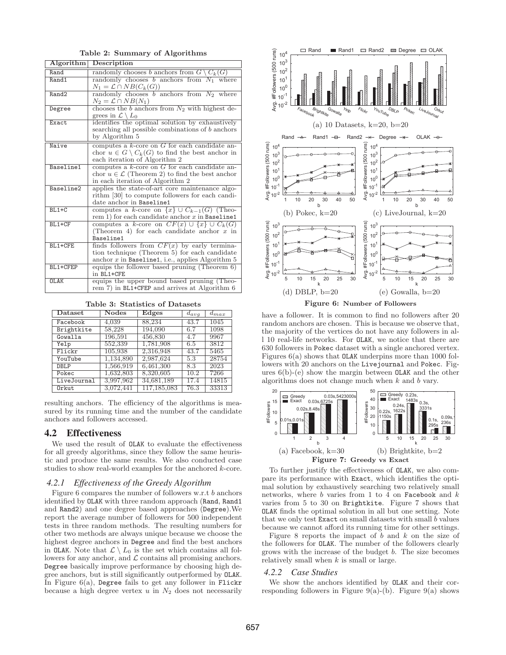|  |  |  | Table 2: Summary of Algorithms |
|--|--|--|--------------------------------|
|--|--|--|--------------------------------|

| Algorithm         | Description                                                                                                                                             |  |  |  |
|-------------------|---------------------------------------------------------------------------------------------------------------------------------------------------------|--|--|--|
| Rand              | randomly chooses b anchors from $G \setminus C_k(G)$                                                                                                    |  |  |  |
| Rand1             | randomly chooses $b$ anchors from $N_1$ where<br>$N_1 = \mathcal{L} \cap NB(C_k(G))$                                                                    |  |  |  |
| Rand <sub>2</sub> | randomly chooses $\overline{b}$ anchors from $N_2$ where<br>$N_2 = \mathcal{L} \cap NB(N_1)$                                                            |  |  |  |
| Degree            | chooses the b anchors from $N_2$ with highest de-<br>grees in $\mathcal{L} \setminus L_0$                                                               |  |  |  |
| Exact             | identifies the optimal solution by exhaustively<br>searching all possible combinations of $b$ anchors<br>by Algorithm 5                                 |  |  |  |
| Naive             | computes a $k$ -core on $G$ for each candidate an-<br>chor $u \in G \setminus C_k(G)$ to find the best anchor in<br>each iteration of Algorithm 2       |  |  |  |
| Baseline1         | computes a $k$ -core on $G$ for each candidate an-<br>chor $u \in \mathcal{L}$ (Theorem 2) to find the best anchor<br>in each iteration of Algorithm 2  |  |  |  |
| Baseline2         | applies the state-of-art core maintenance algo-<br>rithm [30] to compute followers for each candi-<br>date anchor in Baseline1                          |  |  |  |
| $BL1+C$           | computes a k-core on $\{x\} \cup C_{k-1}(G)$ (Theo-<br>rem 1) for each candidate anchor $x$ in Baseline1                                                |  |  |  |
| $BL1+CF$          | computes a k-core on $CF(x) \cup \{x\} \cup C_k(G)$<br>(Theorem 4) for each candidate anchor $x$ in<br>Baseline1                                        |  |  |  |
| $BL1+CFE$         | finds followers from $CF(x)$ by early termina-<br>tion technique (Theorem 5) for each candidate<br>anchor $x$ in Baseline1, i.e., applies Algorithm $5$ |  |  |  |
| BL1+CFEP          | equips the follower based pruning (Theorem 6)<br>in BL1+CFE                                                                                             |  |  |  |
| <b>OLAK</b>       | equips the upper bound based pruning (Theo-<br>rem 7) in BL1+CFEP and arrives at Algorithm 6                                                            |  |  |  |

**Table 3: Statistics of Datasets**

| Dataset     | <b>Nodes</b> | <b>E</b> dges | $d_{avg}$ | $d_{max}$ |
|-------------|--------------|---------------|-----------|-----------|
| Facebook    | 4,039        | 88,234        | 43.7      | 1045      |
| Brightkite  | 58,228       | 194,090       | 6.7       | 1098      |
| Gowalla     | 196,591      | 456,830       | 4.7       | 9967      |
| Yelp        | 552,339      | 1,781,908     | 6.5       | 3812      |
| Flickr      | 105,938      | 2,316,948     | 43.7      | 5465      |
| YouTube     | 1,134,890    | 2,987,624     | 5.3       | 28754     |
| DBLP        | 1,566,919    | 6,461,300     | 8.3       | 2023      |
| Pokec       | 1,632,803    | 8,320,605     | 10.2      | 7266      |
| LiveJournal | 3,997,962    | 34,681,189    | 17.4      | 14815     |
| Orkut       | 3.072.441    | 117,185,083   | 76.3      | 33313     |

resulting anchors. The efficiency of the algorithms is measured by its running time and the number of the candidate anchors and followers accessed.

# 4.2 Effectiveness

We used the result of OLAK to evaluate the effectiveness for all greedy algorithms, since they follow the same heuristic and produce the same results. We also conducted case studies to show real-world examples for the anchored k-core.

# *4.2.1 Effectiveness of the Greedy Algorithm*

Figure 6 compares the number of followers w.r.t b anchors identified by OLAK with three random approach (Rand, Rand1 and Rand2) and one degree based approaches (Degree).We report the average number of followers for 500 independent tests in three random methods. The resulting numbers for other two methods are always unique because we choose the highest degree anchors in Degree and find the best anchors in OLAK. Note that  $\mathcal{L} \setminus L_0$  is the set which contains all followers for any anchor, and  $\mathcal L$  contains all promising anchors. Degree basically improve performance by choosing high degree anchors, but is still significantly outperformed by OLAK. In Figure  $6(a)$ , Degree fails to get any follower in Flickr because a high degree vertex  $u$  in  $N_2$  does not necessarily



have a follower. It is common to find no followers after 20 random anchors are chosen. This is because we observe that, the majority of the vertices do not have any followers in all 10 real-life networks. For OLAK, we notice that there are 630 followers in Pokec dataset with a single anchored vertex. Figures 6(a) shows that OLAK underpins more than 1000 followers with 20 anchors on the Livejournal and Pokec. Figures 6(b)-(e) show the margin between OLAK and the other algorithms does not change much when  $k$  and  $b$  vary.



To further justify the effectiveness of OLAK, we also compare its performance with Exact, which identifies the optimal solution by exhaustively searching two relatively small networks, where  $b$  varies from 1 to 4 on Facebook and  $k$ varies from 5 to 30 on Brightkite. Figure 7 shows that OLAK finds the optimal solution in all but one setting. Note that we only test Exact on small datasets with small  $b$  values because we cannot afford its running time for other settings.

Figure 8 reports the impact of  $b$  and  $k$  on the size of the followers for OLAK. The number of the followers clearly grows with the increase of the budget b. The size becomes relatively small when  $k$  is small or large.

# *4.2.2 Case Studies*

We show the anchors identified by OLAK and their corresponding followers in Figure 9(a)-(b). Figure 9(a) shows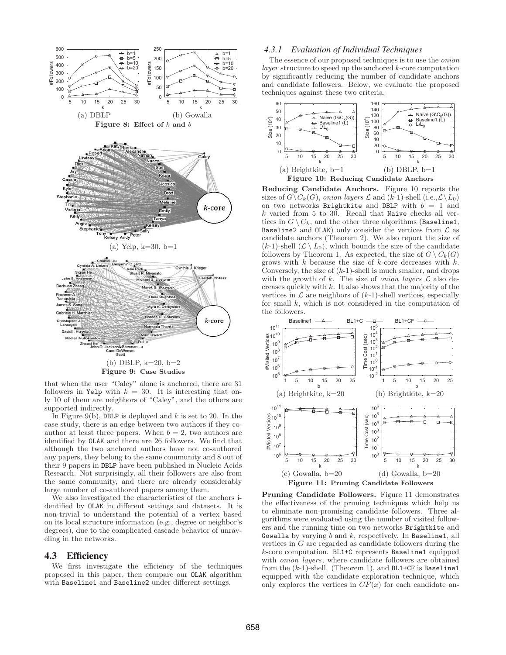

that when the user "Caley" alone is anchored, there are 31 followers in Yelp with  $k = 30$ . It is interesting that only 10 of them are neighbors of "Caley", and the others are supported indirectly.

In Figure 9(b), DBLP is deployed and  $k$  is set to 20. In the case study, there is an edge between two authors if they coauthor at least three papers. When  $b = 2$ , two authors are identified by OLAK and there are 26 followers. We find that although the two anchored authors have not co-authored any papers, they belong to the same community and 8 out of their 9 papers in DBLP have been published in Nucleic Acids Research. Not surprisingly, all their followers are also from the same community, and there are already considerably large number of co-authored papers among them.

We also investigated the characteristics of the anchors identified by OLAK in different settings and datasets. It is non-trivial to understand the potential of a vertex based on its local structure information (e.g., degree or neighbor's degrees), due to the complicated cascade behavior of unraveling in the networks.

# 4.3 Efficiency

We first investigate the efficiency of the techniques proposed in this paper, then compare our OLAK algorithm with Baseline1 and Baseline2 under different settings.

# *4.3.1 Evaluation of Individual Techniques*

The essence of our proposed techniques is to use the onion layer structure to speed up the anchored k-core computation by significantly reducing the number of candidate anchors and candidate followers. Below, we evaluate the proposed techniques against these two criteria.



**Reducing Candidate Anchors.** Figure 10 reports the sizes of  $G\backslash C_k(G)$ , onion layers  $\mathcal L$  and  $(k-1)$ -shell  $(i.e.,\mathcal L\backslash L_0)$ on two networks Brightkite and DBLP with  $b = 1$  and  $k$  varied from 5 to 30. Recall that Naive checks all vertices in  $G \setminus C_k$ , and the other three algorithms (Baseline1, Baseline2 and OLAK) only consider the vertices from  $\mathcal L$  as candidate anchors (Theorem 2). We also report the size of  $(k-1)$ -shell  $(\mathcal{L} \setminus L_0)$ , which bounds the size of the candidate followers by Theorem 1. As expected, the size of  $G \setminus C_k(G)$ grows with  $k$  because the size of  $k$ -core decreases with  $k$ . Conversely, the size of  $(k-1)$ -shell is much smaller, and drops with the growth of k. The size of onion layers  $\mathcal L$  also decreases quickly with  $k$ . It also shows that the majority of the vertices in  $\mathcal L$  are neighbors of  $(k-1)$ -shell vertices, especially for small  $k$ , which is not considered in the computation of the followers.



**Pruning Candidate Followers.** Figure 11 demonstrates the effectiveness of the pruning techniques which help us to eliminate non-promising candidate followers. Three algorithms were evaluated using the number of visited followers and the running time on two networks Brightkite and Gowalla by varying  $b$  and  $k$ , respectively. In Baseline1, all vertices in G are regarded as candidate followers during the k-core computation. BL1+C represents Baseline1 equipped with *onion layers*, where candidate followers are obtained from the  $(k-1)$ -shell. (Theorem 1), and BL1+CF is Baseline1 equipped with the candidate exploration technique, which only explores the vertices in  $CF(x)$  for each candidate an-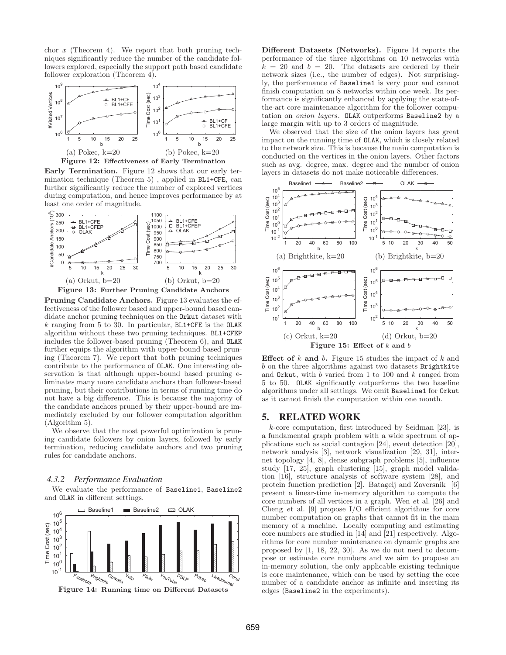chor  $x$  (Theorem 4). We report that both pruning techniques significantly reduce the number of the candidate followers explored, especially the support path based candidate follower exploration (Theorem 4).







**Pruning Candidate Anchors.** Figure 13 evaluates the effectiveness of the follower based and upper-bound based candidate anchor pruning techniques on the Orkut dataset with k ranging from 5 to 30. In particular,  $BL1+CFE$  is the OLAK algorithm without these two pruning techniques. BL1+CFEP includes the follower-based pruning (Theorem 6), and OLAK further equips the algorithm with upper-bound based pruning (Theorem 7). We report that both pruning techniques contribute to the performance of OLAK. One interesting observation is that although upper-bound based pruning eliminates many more candidate anchors than follower-based pruning, but their contributions in terms of running time do not have a big difference. This is because the majority of the candidate anchors pruned by their upper-bound are immediately excluded by our follower computation algorithm (Algorithm 5).

We observe that the most powerful optimization is pruning candidate followers by onion layers, followed by early termination, reducing candidate anchors and two pruning rules for candidate anchors.

# *4.3.2 Performance Evaluation*

We evaluate the performance of Baseline1, Baseline2 and OLAK in different settings.



**Different Datasets (Networks).** Figure 14 reports the performance of the three algorithms on 10 networks with  $k = 20$  and  $b = 20$ . The datasets are ordered by their network sizes (i.e., the number of edges). Not surprisingly, the performance of Baseline1 is very poor and cannot finish computation on 8 networks within one week. Its performance is significantly enhanced by applying the state-ofthe-art core maintenance algorithm for the follower computation on onion layers. OLAK outperforms Baseline2 by a large margin with up to 3 orders of magnitude.

We observed that the size of the onion layers has great impact on the running time of OLAK, which is closely related to the network size. This is because the main computation is conducted on the vertices in the onion layers. Other factors such as avg. degree, max. degree and the number of onion layers in datasets do not make noticeable differences.



**Effect of** k and b. Figure 15 studies the impact of k and b on the three algorithms against two datasets Brightkite and **Orkut**, with b varied from 1 to 100 and k ranged from 5 to 50. OLAK significantly outperforms the two baseline algorithms under all settings. We omit Baseline1 for Orkut as it cannot finish the computation within one month.

# 5. RELATED WORK

k-core computation, first introduced by Seidman [23], is a fundamental graph problem with a wide spectrum of applications such as social contagion [24], event detection [20], network analysis [3], network visualization [29, 31], internet topology [4, 8], dense subgraph problems [5], influence study [17, 25], graph clustering [15], graph model validation [16], structure analysis of software system [28], and protein function prediction [2]. Batagelj and Zaversnik [6] present a linear-time in-memory algorithm to compute the core numbers of all vertices in a graph. Wen et al. [26] and Cheng et al. [9] propose I/O efficient algorithms for core number computation on graphs that cannot fit in the main memory of a machine. Locally computing and estimating core numbers are studied in [14] and [21] respectively. Algorithms for core number maintenance on dynamic graphs are proposed by [1, 18, 22, 30]. As we do not need to decompose or estimate core numbers and we aim to propose an in-memory solution, the only applicable existing technique is core maintenance, which can be used by setting the core number of a candidate anchor as infinite and inserting its edges (Baseline2 in the experiments).